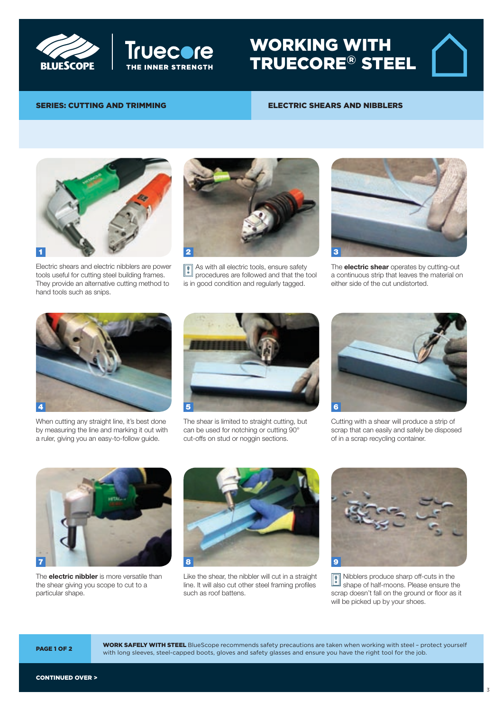



Electric shears and nibblers

## ELECTRIC SHEARS AND NIBBLERS

TRUECORE® STEEL

WORKING WITH



SERIES: CUTTING AND TRIMMING

Electric shears and electric nibblers are power tools useful for cutting steel building frames. They provide an alternative cutting method to hand tools such as snips.



As with all electric tools, ensure safety procedures are followed and that the tool is in good condition and regularly tagged. !



The **electric shear** operates by cutting-out a continuous strip that leaves the material on either side of the cut undistorted.



When cutting any straight line, it's best done by measuring the line and marking it out with a ruler, giving you an easy-to-follow guide.



The shear is limited to straight cutting, but can be used for notching or cutting 90° cut-offs on stud or noggin sections.



Cutting with a shear will produce a strip of scrap that can easily and safely be disposed of in a scrap recycling container.



The **electric nibbler** is more versatile than the shear giving you scope to cut to a particular shape.

TRUE CORES and BlueScope are registered trade marks of  $B$  limited  $A$  bluescope  $S$  on  $B$ 



Like the shear, the nibbler will cut in a straight line. It will also cut other steel framing profiles such as roof battens.



Nibblers produce sharp off-cuts in the shape of half-moons. Please ensure the scrap doesn't fall on the ground or floor as it will be picked up by your shoes. **!** 

**WORK SAFELY WITH STEEL** BlueScope recommends safety precautions are taken when working with steel - protect yourself **PAGE 1 OF 2** with long sleeves, steel-capped boots, gloves and safety glasses and ensure you have the right tool for the job.